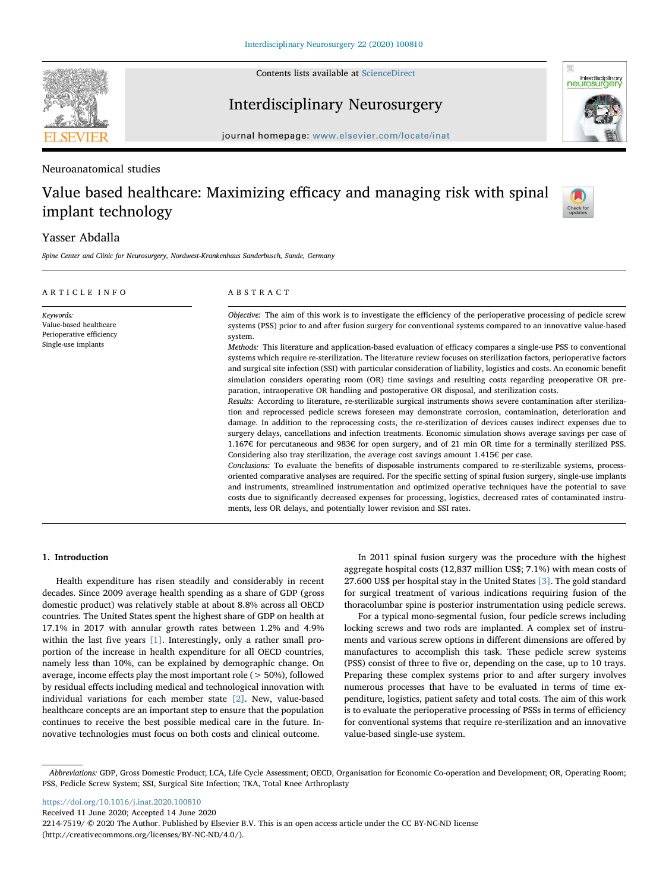

Contents lists available at [ScienceDirect](http://www.sciencedirect.com/science/journal/22147519)

Interdisciplinary Neurosurgery



journal homepage: [www.elsevier.com/locate/inat](https://www.elsevier.com/locate/inat)

# Neuroanatomical studies

# Value based healthcare: Maximizing efficacy and managing risk with spinal implant technology



# Yasser Abdalla

Spine Center and Clinic for Neurosurgery, Nordwest-Krankenhaus Sanderbusch, Sande, Germany

| ARTICLE INFO                                                                           | ABSTRACT                                                                                                                                                                                                                                                                                                                                                                                                                                                                                                                                                                                                                                                                                                                                                                                                                                                                                                                                                                                                                                                                                                                                                                                                                                                                                                                                                                                                                                                                                                                                                                                                                                                                                                                                                                                                                                                                                                                                                                                                                                                              |  |  |
|----------------------------------------------------------------------------------------|-----------------------------------------------------------------------------------------------------------------------------------------------------------------------------------------------------------------------------------------------------------------------------------------------------------------------------------------------------------------------------------------------------------------------------------------------------------------------------------------------------------------------------------------------------------------------------------------------------------------------------------------------------------------------------------------------------------------------------------------------------------------------------------------------------------------------------------------------------------------------------------------------------------------------------------------------------------------------------------------------------------------------------------------------------------------------------------------------------------------------------------------------------------------------------------------------------------------------------------------------------------------------------------------------------------------------------------------------------------------------------------------------------------------------------------------------------------------------------------------------------------------------------------------------------------------------------------------------------------------------------------------------------------------------------------------------------------------------------------------------------------------------------------------------------------------------------------------------------------------------------------------------------------------------------------------------------------------------------------------------------------------------------------------------------------------------|--|--|
| Keywords:<br>Value-based healthcare<br>Perioperative efficiency<br>Single-use implants | Objective: The aim of this work is to investigate the efficiency of the perioperative processing of pedicle screw<br>systems (PSS) prior to and after fusion surgery for conventional systems compared to an innovative value-based<br>system.<br>Methods: This literature and application-based evaluation of efficacy compares a single-use PSS to conventional<br>systems which require re-sterilization. The literature review focuses on sterilization factors, perioperative factors<br>and surgical site infection (SSI) with particular consideration of liability, logistics and costs. An economic benefit<br>simulation considers operating room (OR) time savings and resulting costs regarding preoperative OR pre-<br>paration, intraoperative OR handling and postoperative OR disposal, and sterilization costs.<br>Results: According to literature, re-sterilizable surgical instruments shows severe contamination after steriliza-<br>tion and reprocessed pedicle screws foreseen may demonstrate corrosion, contamination, deterioration and<br>damage. In addition to the reprocessing costs, the re-sterilization of devices causes indirect expenses due to<br>surgery delays, cancellations and infection treatments. Economic simulation shows average savings per case of<br>1.167€ for percutaneous and 983€ for open surgery, and of 21 min OR time for a terminally sterilized PSS.<br>Considering also tray sterilization, the average cost savings amount $1.415\epsilon$ per case.<br>Conclusions: To evaluate the benefits of disposable instruments compared to re-sterilizable systems, process-<br>oriented comparative analyses are required. For the specific setting of spinal fusion surgery, single-use implants<br>and instruments, streamlined instrumentation and optimized operative techniques have the potential to save<br>costs due to significantly decreased expenses for processing, logistics, decreased rates of contaminated instru-<br>ments, less OR delays, and potentially lower revision and SSI rates. |  |  |
|                                                                                        |                                                                                                                                                                                                                                                                                                                                                                                                                                                                                                                                                                                                                                                                                                                                                                                                                                                                                                                                                                                                                                                                                                                                                                                                                                                                                                                                                                                                                                                                                                                                                                                                                                                                                                                                                                                                                                                                                                                                                                                                                                                                       |  |  |

# 1. Introduction

Health expenditure has risen steadily and considerably in recent decades. Since 2009 average health spending as a share of GDP (gross domestic product) was relatively stable at about 8.8% across all OECD countries. The United States spent the highest share of GDP on health at 17.1% in 2017 with annular growth rates between 1.2% and 4.9% within the last five years [\[1\]](#page-4-0). Interestingly, only a rather small proportion of the increase in health expenditure for all OECD countries, namely less than 10%, can be explained by demographic change. On average, income effects play the most important role ( $>$  50%), followed by residual effects including medical and technological innovation with individual variations for each member state [\[2\].](#page-4-1) New, value-based healthcare concepts are an important step to ensure that the population continues to receive the best possible medical care in the future. Innovative technologies must focus on both costs and clinical outcome.

In 2011 spinal fusion surgery was the procedure with the highest aggregate hospital costs (12,837 million US\$; 7.1%) with mean costs of 27.600 US\$ per hospital stay in the United States [\[3\]](#page-4-2). The gold standard for surgical treatment of various indications requiring fusion of the thoracolumbar spine is posterior instrumentation using pedicle screws.

For a typical mono-segmental fusion, four pedicle screws including locking screws and two rods are implanted. A complex set of instruments and various screw options in different dimensions are offered by manufactures to accomplish this task. These pedicle screw systems (PSS) consist of three to five or, depending on the case, up to 10 trays. Preparing these complex systems prior to and after surgery involves numerous processes that have to be evaluated in terms of time expenditure, logistics, patient safety and total costs. The aim of this work is to evaluate the perioperative processing of PSSs in terms of efficiency for conventional systems that require re-sterilization and an innovative value-based single-use system.

<https://doi.org/10.1016/j.inat.2020.100810>

Received 11 June 2020; Accepted 14 June 2020

Abbreviations: GDP, Gross Domestic Product; LCA, Life Cycle Assessment; OECD, Organisation for Economic Co-operation and Development; OR, Operating Room; PSS, Pedicle Screw System; SSI, Surgical Site Infection; TKA, Total Knee Arthroplasty

<sup>2214-7519/ © 2020</sup> The Author. Published by Elsevier B.V. This is an open access article under the CC BY-NC-ND license (http://creativecommons.org/licenses/BY-NC-ND/4.0/).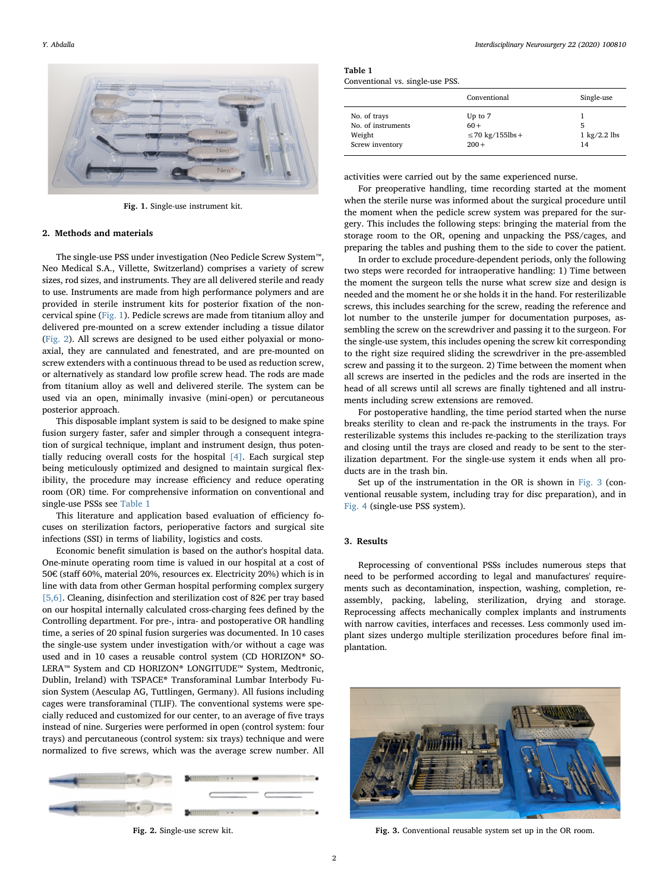<span id="page-1-0"></span>

Fig. 1. Single-use instrument kit.

#### 2. Methods and materials

The single-use PSS under investigation (Neo Pedicle Screw System™, Neo Medical S.A., Villette, Switzerland) comprises a variety of screw sizes, rod sizes, and instruments. They are all delivered sterile and ready to use. Instruments are made from high performance polymers and are provided in sterile instrument kits for posterior fixation of the noncervical spine ([Fig. 1](#page-1-0)). Pedicle screws are made from titanium alloy and delivered pre-mounted on a screw extender including a tissue dilator ([Fig. 2](#page-1-1)). All screws are designed to be used either polyaxial or monoaxial, they are cannulated and fenestrated, and are pre-mounted on screw extenders with a continuous thread to be used as reduction screw, or alternatively as standard low profile screw head. The rods are made from titanium alloy as well and delivered sterile. The system can be used via an open, minimally invasive (mini-open) or percutaneous posterior approach.

This disposable implant system is said to be designed to make spine fusion surgery faster, safer and simpler through a consequent integration of surgical technique, implant and instrument design, thus potentially reducing overall costs for the hospital [\[4\].](#page-4-3) Each surgical step being meticulously optimized and designed to maintain surgical flexibility, the procedure may increase efficiency and reduce operating room (OR) time. For comprehensive information on conventional and single-use PSSs see [Table 1](#page-1-2)

This literature and application based evaluation of efficiency focuses on sterilization factors, perioperative factors and surgical site infections (SSI) in terms of liability, logistics and costs.

Economic benefit simulation is based on the author's hospital data. One-minute operating room time is valued in our hospital at a cost of 50€ (staff 60%, material 20%, resources ex. Electricity 20%) which is in line with data from other German hospital performing complex surgery [\[5,6\].](#page-4-4) Cleaning, disinfection and sterilization cost of 82€ per tray based on our hospital internally calculated cross-charging fees defined by the Controlling department. For pre-, intra- and postoperative OR handling time, a series of 20 spinal fusion surgeries was documented. In 10 cases the single-use system under investigation with/or without a cage was used and in 10 cases a reusable control system (CD HORIZON® SO-LERA™ System and CD HORIZON® LONGITUDE™ System, Medtronic, Dublin, Ireland) with TSPACE® Transforaminal Lumbar Interbody Fusion System (Aesculap AG, Tuttlingen, Germany). All fusions including cages were transforaminal (TLIF). The conventional systems were specially reduced and customized for our center, to an average of five trays instead of nine. Surgeries were performed in open (control system: four trays) and percutaneous (control system: six trays) technique and were normalized to five screws, which was the average screw number. All

<span id="page-1-1"></span>

Fig. 2. Single-use screw kit.

<span id="page-1-2"></span>Table 1 Conventional vs. single-use PSS.

|                    | Conventional          | Single-use             |
|--------------------|-----------------------|------------------------|
| No. of trays       | Up to 7               |                        |
| No. of instruments | $60+$                 | 5                      |
| Weight             | $\leq$ 70 kg/155lbs + | $1 \text{ kg}/2.2$ lbs |
| Screw inventory    | $200 +$               | 14                     |

activities were carried out by the same experienced nurse.

For preoperative handling, time recording started at the moment when the sterile nurse was informed about the surgical procedure until the moment when the pedicle screw system was prepared for the surgery. This includes the following steps: bringing the material from the storage room to the OR, opening and unpacking the PSS/cages, and preparing the tables and pushing them to the side to cover the patient.

In order to exclude procedure-dependent periods, only the following two steps were recorded for intraoperative handling: 1) Time between the moment the surgeon tells the nurse what screw size and design is needed and the moment he or she holds it in the hand. For resterilizable screws, this includes searching for the screw, reading the reference and lot number to the unsterile jumper for documentation purposes, assembling the screw on the screwdriver and passing it to the surgeon. For the single-use system, this includes opening the screw kit corresponding to the right size required sliding the screwdriver in the pre-assembled screw and passing it to the surgeon. 2) Time between the moment when all screws are inserted in the pedicles and the rods are inserted in the head of all screws until all screws are finally tightened and all instruments including screw extensions are removed.

For postoperative handling, the time period started when the nurse breaks sterility to clean and re-pack the instruments in the trays. For resterilizable systems this includes re-packing to the sterilization trays and closing until the trays are closed and ready to be sent to the sterilization department. For the single-use system it ends when all products are in the trash bin.

Set up of the instrumentation in the OR is shown in [Fig. 3](#page-1-3) (conventional reusable system, including tray for disc preparation), and in [Fig. 4](#page-2-0) (single-use PSS system).

#### 3. Results

Reprocessing of conventional PSSs includes numerous steps that need to be performed according to legal and manufactures' requirements such as decontamination, inspection, washing, completion, reassembly, packing, labeling, sterilization, drying and storage. Reprocessing affects mechanically complex implants and instruments with narrow cavities, interfaces and recesses. Less commonly used implant sizes undergo multiple sterilization procedures before final implantation.

<span id="page-1-3"></span>

Fig. 3. Conventional reusable system set up in the OR room.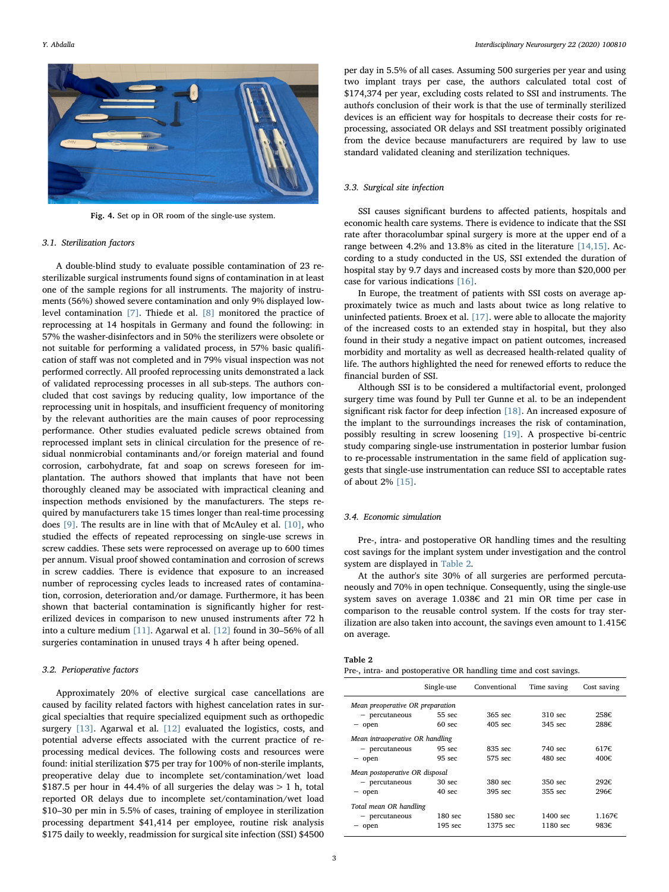<span id="page-2-0"></span>

Fig. 4. Set op in OR room of the single-use system.

#### 3.1. Sterilization factors

A double-blind study to evaluate possible contamination of 23 resterilizable surgical instruments found signs of contamination in at least one of the sample regions for all instruments. The majority of instruments (56%) showed severe contamination and only 9% displayed lowlevel contamination [\[7\].](#page-4-5) Thiede et al. [\[8\]](#page-4-6) monitored the practice of reprocessing at 14 hospitals in Germany and found the following: in 57% the washer-disinfectors and in 50% the sterilizers were obsolete or not suitable for performing a validated process, in 57% basic qualification of staff was not completed and in 79% visual inspection was not performed correctly. All proofed reprocessing units demonstrated a lack of validated reprocessing processes in all sub-steps. The authors concluded that cost savings by reducing quality, low importance of the reprocessing unit in hospitals, and insufficient frequency of monitoring by the relevant authorities are the main causes of poor reprocessing performance. Other studies evaluated pedicle screws obtained from reprocessed implant sets in clinical circulation for the presence of residual nonmicrobial contaminants and/or foreign material and found corrosion, carbohydrate, fat and soap on screws foreseen for implantation. The authors showed that implants that have not been thoroughly cleaned may be associated with impractical cleaning and inspection methods envisioned by the manufacturers. The steps required by manufacturers take 15 times longer than real-time processing does [\[9\]](#page-4-7). The results are in line with that of McAuley et al. [\[10\],](#page-4-8) who studied the effects of repeated reprocessing on single-use screws in screw caddies. These sets were reprocessed on average up to 600 times per annum. Visual proof showed contamination and corrosion of screws in screw caddies. There is evidence that exposure to an increased number of reprocessing cycles leads to increased rates of contamination, corrosion, deterioration and/or damage. Furthermore, it has been shown that bacterial contamination is significantly higher for resterilized devices in comparison to new unused instruments after 72 h into a culture medium [\[11\]](#page-4-9). Agarwal et al. [\[12\]](#page-4-10) found in 30–56% of all surgeries contamination in unused trays 4 h after being opened.

### 3.2. Perioperative factors

Approximately 20% of elective surgical case cancellations are caused by facility related factors with highest cancelation rates in surgical specialties that require specialized equipment such as orthopedic surgery [\[13\]](#page-4-11). Agarwal et al. [\[12\]](#page-4-10) evaluated the logistics, costs, and potential adverse effects associated with the current practice of reprocessing medical devices. The following costs and resources were found: initial sterilization \$75 per tray for 100% of non-sterile implants, preoperative delay due to incomplete set/contamination/wet load \$187.5 per hour in 44.4% of all surgeries the delay was  $> 1$  h, total reported OR delays due to incomplete set/contamination/wet load \$10–30 per min in 5.5% of cases, training of employee in sterilization processing department \$41,414 per employee, routine risk analysis \$175 daily to weekly, readmission for surgical site infection (SSI) \$4500

per day in 5.5% of all cases. Assuming 500 surgeries per year and using two implant trays per case, the authors calculated total cost of \$174,374 per year, excluding costs related to SSI and instruments. The authoŕs conclusion of their work is that the use of terminally sterilized devices is an efficient way for hospitals to decrease their costs for reprocessing, associated OR delays and SSI treatment possibly originated from the device because manufacturers are required by law to use standard validated cleaning and sterilization techniques.

#### 3.3. Surgical site infection

SSI causes significant burdens to affected patients, hospitals and economic health care systems. There is evidence to indicate that the SSI rate after thoracolumbar spinal surgery is more at the upper end of a range between 4.2% and 13.8% as cited in the literature [\[14,15\].](#page-4-12) According to a study conducted in the US, SSI extended the duration of hospital stay by 9.7 days and increased costs by more than \$20,000 per case for various indications [\[16\]](#page-4-13).

In Europe, the treatment of patients with SSI costs on average approximately twice as much and lasts about twice as long relative to uninfected patients. Broex et al. [\[17\].](#page-4-14) were able to allocate the majority of the increased costs to an extended stay in hospital, but they also found in their study a negative impact on patient outcomes, increased morbidity and mortality as well as decreased health-related quality of life. The authors highlighted the need for renewed efforts to reduce the financial burden of SSI.

Although SSI is to be considered a multifactorial event, prolonged surgery time was found by Pull ter Gunne et al. to be an independent significant risk factor for deep infection [\[18\]](#page-4-15). An increased exposure of the implant to the surroundings increases the risk of contamination, possibly resulting in screw loosening [\[19\].](#page-4-16) A prospective bi-centric study comparing single-use instrumentation in posterior lumbar fusion to re-processable instrumentation in the same field of application suggests that single-use instrumentation can reduce SSI to acceptable rates of about 2% [\[15\].](#page-4-17)

#### 3.4. Economic simulation

Pre-, intra- and postoperative OR handling times and the resulting cost savings for the implant system under investigation and the control system are displayed in [Table 2](#page-2-1).

At the author's site 30% of all surgeries are performed percutaneously and 70% in open technique. Consequently, using the single-use system saves on average 1.038€ and 21 min OR time per case in comparison to the reusable control system. If the costs for tray sterilization are also taken into account, the savings even amount to 1.415€ on average.

## <span id="page-2-1"></span>Table 2

|  |  |  | Pre-, intra- and postoperative OR handling time and cost savings. |
|--|--|--|-------------------------------------------------------------------|
|--|--|--|-------------------------------------------------------------------|

|                                  | Single-use        | Conventional      | Time saving       | Cost saving |  |  |  |  |
|----------------------------------|-------------------|-------------------|-------------------|-------------|--|--|--|--|
| Mean preoperative OR preparation |                   |                   |                   |             |  |  |  |  |
| $-$ percutaneous                 | 55 sec            | 365 sec           | 310 sec           | 258€        |  |  |  |  |
| $-$ open                         | 60 <sub>sec</sub> | $405 \text{ sec}$ | 345 sec           | 288€        |  |  |  |  |
| Mean intraoperative OR handling  |                   |                   |                   |             |  |  |  |  |
| $-$ percutaneous                 | 95 sec            | 835 sec           | 740 sec           | 617f        |  |  |  |  |
| - open                           | 95 <sub>sec</sub> | 575 sec           | $480 \text{ sec}$ | 400€        |  |  |  |  |
| Mean postoperative OR disposal   |                   |                   |                   |             |  |  |  |  |
| $-$ percutaneous                 | 30 sec            | 380 sec           | 350 sec           | 292€        |  |  |  |  |
| - open                           | $40 \text{ sec}$  | 395 sec           | 355 sec           | 296€        |  |  |  |  |
| Total mean OR handling           |                   |                   |                   |             |  |  |  |  |
| $-$ percutaneous                 | 180 sec           | 1580 sec          | 1400 sec          | 1.1676      |  |  |  |  |
| open                             | 195 sec           | 1375 sec          | 1180 sec          | 983€        |  |  |  |  |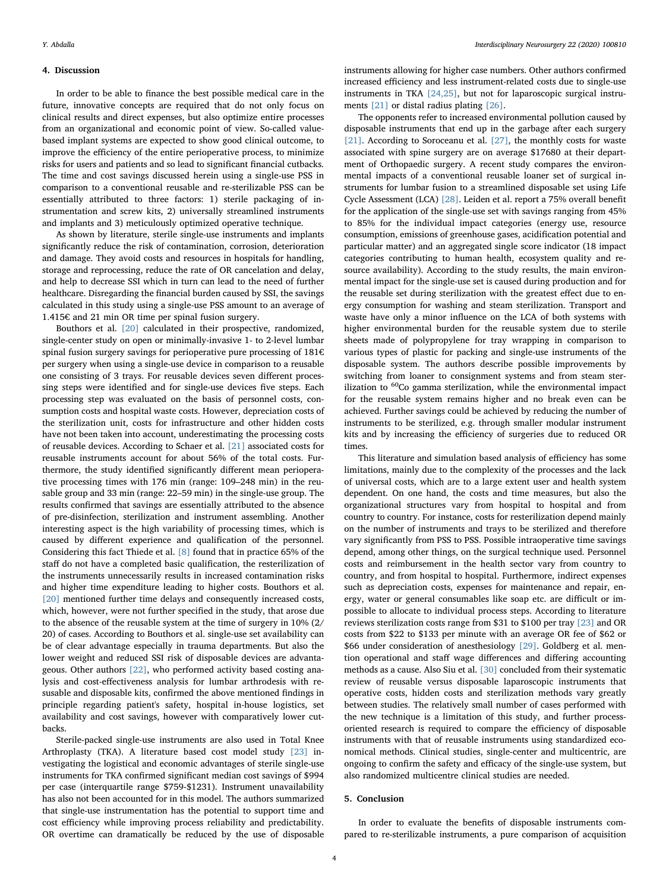#### 4. Discussion

In order to be able to finance the best possible medical care in the future, innovative concepts are required that do not only focus on clinical results and direct expenses, but also optimize entire processes from an organizational and economic point of view. So-called valuebased implant systems are expected to show good clinical outcome, to improve the efficiency of the entire perioperative process, to minimize risks for users and patients and so lead to significant financial cutbacks. The time and cost savings discussed herein using a single-use PSS in comparison to a conventional reusable and re-sterilizable PSS can be essentially attributed to three factors: 1) sterile packaging of instrumentation and screw kits, 2) universally streamlined instruments and implants and 3) meticulously optimized operative technique.

As shown by literature, sterile single-use instruments and implants significantly reduce the risk of contamination, corrosion, deterioration and damage. They avoid costs and resources in hospitals for handling, storage and reprocessing, reduce the rate of OR cancelation and delay, and help to decrease SSI which in turn can lead to the need of further healthcare. Disregarding the financial burden caused by SSI, the savings calculated in this study using a single-use PSS amount to an average of 1.415€ and 21 min OR time per spinal fusion surgery.

Bouthors et al. [\[20\]](#page-4-18) calculated in their prospective, randomized, single-center study on open or minimally-invasive 1- to 2-level lumbar spinal fusion surgery savings for perioperative pure processing of 181€ per surgery when using a single-use device in comparison to a reusable one consisting of 3 trays. For reusable devices seven different processing steps were identified and for single-use devices five steps. Each processing step was evaluated on the basis of personnel costs, consumption costs and hospital waste costs. However, depreciation costs of the sterilization unit, costs for infrastructure and other hidden costs have not been taken into account, underestimating the processing costs of reusable devices. According to Schaer et al. [\[21\]](#page-4-19) associated costs for reusable instruments account for about 56% of the total costs. Furthermore, the study identified significantly different mean perioperative processing times with 176 min (range: 109–248 min) in the reusable group and 33 min (range: 22–59 min) in the single-use group. The results confirmed that savings are essentially attributed to the absence of pre-disinfection, sterilization and instrument assembling. Another interesting aspect is the high variability of processing times, which is caused by different experience and qualification of the personnel. Considering this fact Thiede et al. [\[8\]](#page-4-6) found that in practice 65% of the staff do not have a completed basic qualification, the resterilization of the instruments unnecessarily results in increased contamination risks and higher time expenditure leading to higher costs. Bouthors et al. [\[20\]](#page-4-18) mentioned further time delays and consequently increased costs, which, however, were not further specified in the study, that arose due to the absence of the reusable system at the time of surgery in 10% (2/ 20) of cases. According to Bouthors et al. single-use set availability can be of clear advantage especially in trauma departments. But also the lower weight and reduced SSI risk of disposable devices are advantageous. Other authors [\[22\],](#page-4-20) who performed activity based costing analysis and cost-effectiveness analysis for lumbar arthrodesis with resusable and disposable kits, confirmed the above mentioned findings in principle regarding patient's safety, hospital in-house logistics, set availability and cost savings, however with comparatively lower cutbacks.

Sterile-packed single-use instruments are also used in Total Knee Arthroplasty (TKA). A literature based cost model study [\[23\]](#page-4-21) investigating the logistical and economic advantages of sterile single-use instruments for TKA confirmed significant median cost savings of \$994 per case (interquartile range \$759-\$1231). Instrument unavailability has also not been accounted for in this model. The authors summarized that single-use instrumentation has the potential to support time and cost efficiency while improving process reliability and predictability. OR overtime can dramatically be reduced by the use of disposable instruments allowing for higher case numbers. Other authors confirmed increased efficiency and less instrument-related costs due to single-use instruments in TKA [\[24,25\]](#page-4-22), but not for laparoscopic surgical instruments [\[21\]](#page-4-19) or distal radius plating [\[26\]](#page-4-23).

The opponents refer to increased environmental pollution caused by disposable instruments that end up in the garbage after each surgery [\[21\]](#page-4-19). According to Soroceanu et al. [\[27\],](#page-4-24) the monthly costs for waste associated with spine surgery are on average \$17680 at their department of Orthopaedic surgery. A recent study compares the environmental impacts of a conventional reusable loaner set of surgical instruments for lumbar fusion to a streamlined disposable set using Life Cycle Assessment (LCA) [\[28\].](#page-4-25) Leiden et al. report a 75% overall benefit for the application of the single-use set with savings ranging from 45% to 85% for the individual impact categories (energy use, resource consumption, emissions of greenhouse gases, acidification potential and particular matter) and an aggregated single score indicator (18 impact categories contributing to human health, ecosystem quality and resource availability). According to the study results, the main environmental impact for the single-use set is caused during production and for the reusable set during sterilization with the greatest effect due to energy consumption for washing and steam sterilization. Transport and waste have only a minor influence on the LCA of both systems with higher environmental burden for the reusable system due to sterile sheets made of polypropylene for tray wrapping in comparison to various types of plastic for packing and single-use instruments of the disposable system. The authors describe possible improvements by switching from loaner to consignment systems and from steam sterilization to <sup>60</sup>Co gamma sterilization, while the environmental impact for the reusable system remains higher and no break even can be achieved. Further savings could be achieved by reducing the number of instruments to be sterilized, e.g. through smaller modular instrument kits and by increasing the efficiency of surgeries due to reduced OR times.

This literature and simulation based analysis of efficiency has some limitations, mainly due to the complexity of the processes and the lack of universal costs, which are to a large extent user and health system dependent. On one hand, the costs and time measures, but also the organizational structures vary from hospital to hospital and from country to country. For instance, costs for resterilization depend mainly on the number of instruments and trays to be sterilized and therefore vary significantly from PSS to PSS. Possible intraoperative time savings depend, among other things, on the surgical technique used. Personnel costs and reimbursement in the health sector vary from country to country, and from hospital to hospital. Furthermore, indirect expenses such as depreciation costs, expenses for maintenance and repair, energy, water or general consumables like soap etc. are difficult or impossible to allocate to individual process steps. According to literature reviews sterilization costs range from \$31 to \$100 per tray [\[23\]](#page-4-21) and OR costs from \$22 to \$133 per minute with an average OR fee of \$62 or \$66 under consideration of anesthesiology [\[29\].](#page-4-26) Goldberg et al. mention operational and staff wage differences and differing accounting methods as a cause. Also Siu et al. [\[30\]](#page-4-27) concluded from their systematic review of reusable versus disposable laparoscopic instruments that operative costs, hidden costs and sterilization methods vary greatly between studies. The relatively small number of cases performed with the new technique is a limitation of this study, and further processoriented research is required to compare the efficiency of disposable instruments with that of reusable instruments using standardized economical methods. Clinical studies, single-center and multicentric, are ongoing to confirm the safety and efficacy of the single-use system, but also randomized multicentre clinical studies are needed.

#### 5. Conclusion

In order to evaluate the benefits of disposable instruments compared to re-sterilizable instruments, a pure comparison of acquisition